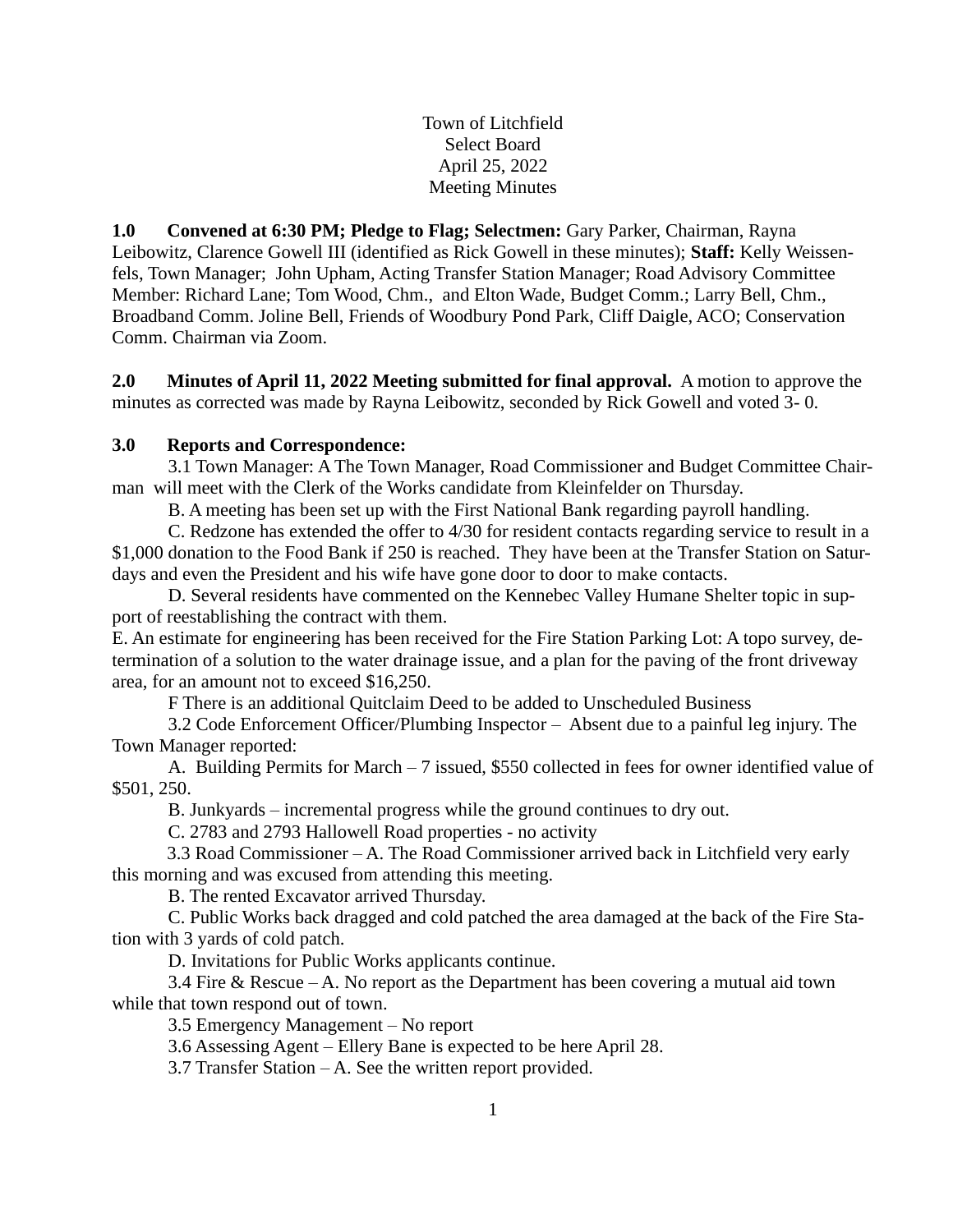Town of Litchfield Select Board April 25, 2022 Meeting Minutes

**1.0 Convened at 6:30 PM; Pledge to Flag; Selectmen:** Gary Parker, Chairman, Rayna Leibowitz, Clarence Gowell III (identified as Rick Gowell in these minutes); **Staff:** Kelly Weissenfels, Town Manager; John Upham, Acting Transfer Station Manager; Road Advisory Committee Member: Richard Lane; Tom Wood, Chm., and Elton Wade, Budget Comm.; Larry Bell, Chm., Broadband Comm. Joline Bell, Friends of Woodbury Pond Park, Cliff Daigle, ACO; Conservation Comm. Chairman via Zoom.

**2.0 Minutes of April 11, 2022 Meeting submitted for final approval.** A motion to approve the minutes as corrected was made by Rayna Leibowitz, seconded by Rick Gowell and voted 3- 0.

# **3.0 Reports and Correspondence:**

3.1 Town Manager: A The Town Manager, Road Commissioner and Budget Committee Chairman will meet with the Clerk of the Works candidate from Kleinfelder on Thursday.

B. A meeting has been set up with the First National Bank regarding payroll handling.

C. Redzone has extended the offer to 4/30 for resident contacts regarding service to result in a \$1,000 donation to the Food Bank if 250 is reached. They have been at the Transfer Station on Saturdays and even the President and his wife have gone door to door to make contacts.

D. Several residents have commented on the Kennebec Valley Humane Shelter topic in support of reestablishing the contract with them.

E. An estimate for engineering has been received for the Fire Station Parking Lot: A topo survey, determination of a solution to the water drainage issue, and a plan for the paving of the front driveway area, for an amount not to exceed \$16,250.

F There is an additional Quitclaim Deed to be added to Unscheduled Business

3.2 Code Enforcement Officer/Plumbing Inspector – Absent due to a painful leg injury. The Town Manager reported:

A. Building Permits for March – 7 issued, \$550 collected in fees for owner identified value of \$501, 250.

B. Junkyards – incremental progress while the ground continues to dry out.

C. 2783 and 2793 Hallowell Road properties - no activity

3.3 Road Commissioner – A. The Road Commissioner arrived back in Litchfield very early this morning and was excused from attending this meeting.

B. The rented Excavator arrived Thursday.

C. Public Works back dragged and cold patched the area damaged at the back of the Fire Station with 3 yards of cold patch.

D. Invitations for Public Works applicants continue.

3.4 Fire & Rescue – A. No report as the Department has been covering a mutual aid town while that town respond out of town.

3.5 Emergency Management – No report

3.6 Assessing Agent – Ellery Bane is expected to be here April 28.

3.7 Transfer Station – A. See the written report provided.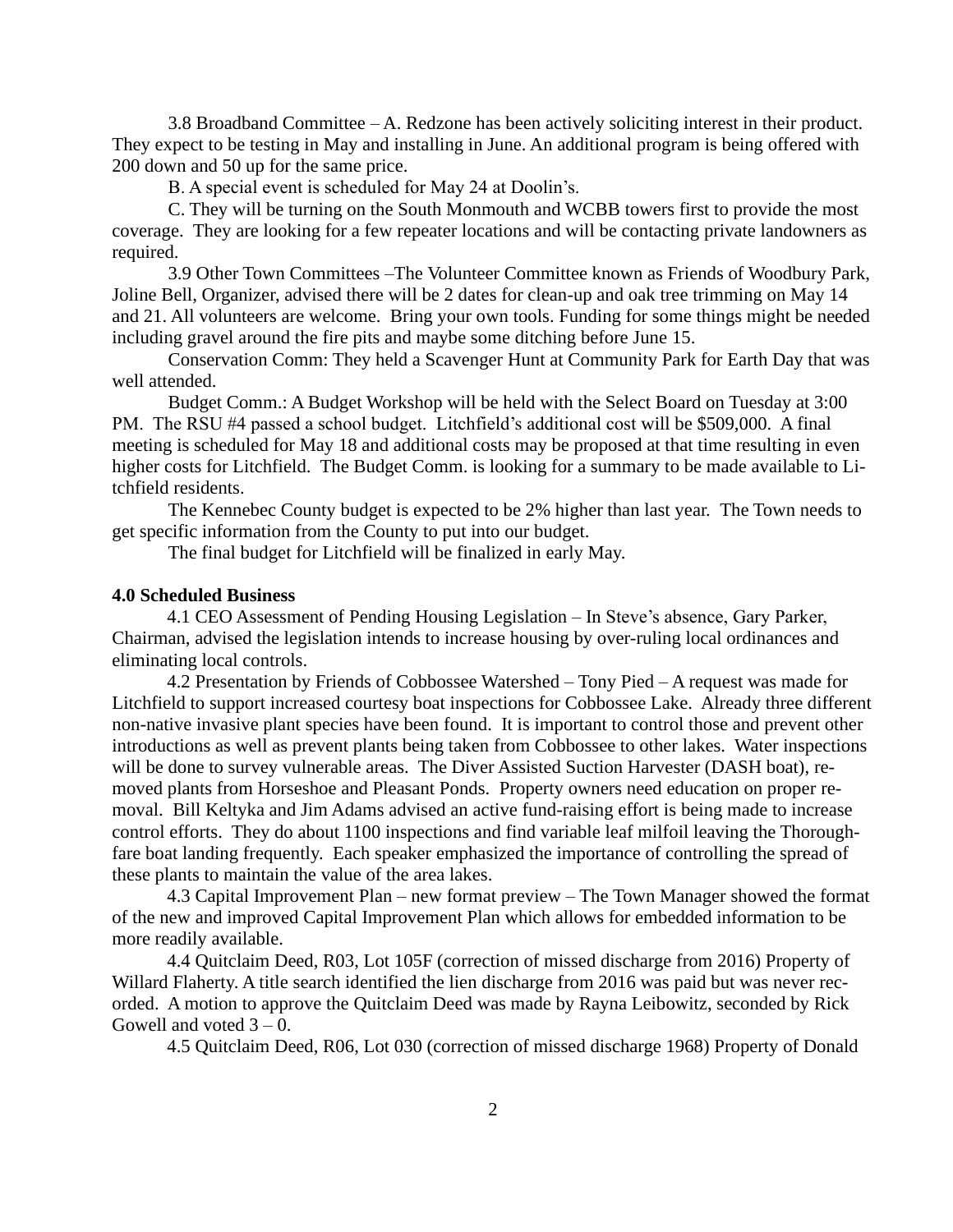3.8 Broadband Committee – A. Redzone has been actively soliciting interest in their product. They expect to be testing in May and installing in June. An additional program is being offered with 200 down and 50 up for the same price.

B. A special event is scheduled for May 24 at Doolin's.

C. They will be turning on the South Monmouth and WCBB towers first to provide the most coverage. They are looking for a few repeater locations and will be contacting private landowners as required.

3.9 Other Town Committees –The Volunteer Committee known as Friends of Woodbury Park, Joline Bell, Organizer, advised there will be 2 dates for clean-up and oak tree trimming on May 14 and 21. All volunteers are welcome. Bring your own tools. Funding for some things might be needed including gravel around the fire pits and maybe some ditching before June 15.

Conservation Comm: They held a Scavenger Hunt at Community Park for Earth Day that was well attended.

Budget Comm.: A Budget Workshop will be held with the Select Board on Tuesday at 3:00 PM. The RSU #4 passed a school budget. Litchfield's additional cost will be \$509,000. A final meeting is scheduled for May 18 and additional costs may be proposed at that time resulting in even higher costs for Litchfield. The Budget Comm. is looking for a summary to be made available to Litchfield residents.

The Kennebec County budget is expected to be 2% higher than last year. The Town needs to get specific information from the County to put into our budget.

The final budget for Litchfield will be finalized in early May.

#### **4.0 Scheduled Business**

4.1 CEO Assessment of Pending Housing Legislation – In Steve's absence, Gary Parker, Chairman, advised the legislation intends to increase housing by over-ruling local ordinances and eliminating local controls.

4.2 Presentation by Friends of Cobbossee Watershed – Tony Pied – A request was made for Litchfield to support increased courtesy boat inspections for Cobbossee Lake. Already three different non-native invasive plant species have been found. It is important to control those and prevent other introductions as well as prevent plants being taken from Cobbossee to other lakes. Water inspections will be done to survey vulnerable areas. The Diver Assisted Suction Harvester (DASH boat), removed plants from Horseshoe and Pleasant Ponds. Property owners need education on proper removal. Bill Keltyka and Jim Adams advised an active fund-raising effort is being made to increase control efforts. They do about 1100 inspections and find variable leaf milfoil leaving the Thoroughfare boat landing frequently. Each speaker emphasized the importance of controlling the spread of these plants to maintain the value of the area lakes.

4.3 Capital Improvement Plan – new format preview – The Town Manager showed the format of the new and improved Capital Improvement Plan which allows for embedded information to be more readily available.

4.4 Quitclaim Deed, R03, Lot 105F (correction of missed discharge from 2016) Property of Willard Flaherty. A title search identified the lien discharge from 2016 was paid but was never recorded. A motion to approve the Quitclaim Deed was made by Rayna Leibowitz, seconded by Rick Gowell and voted  $3 - 0$ .

4.5 Quitclaim Deed, R06, Lot 030 (correction of missed discharge 1968) Property of Donald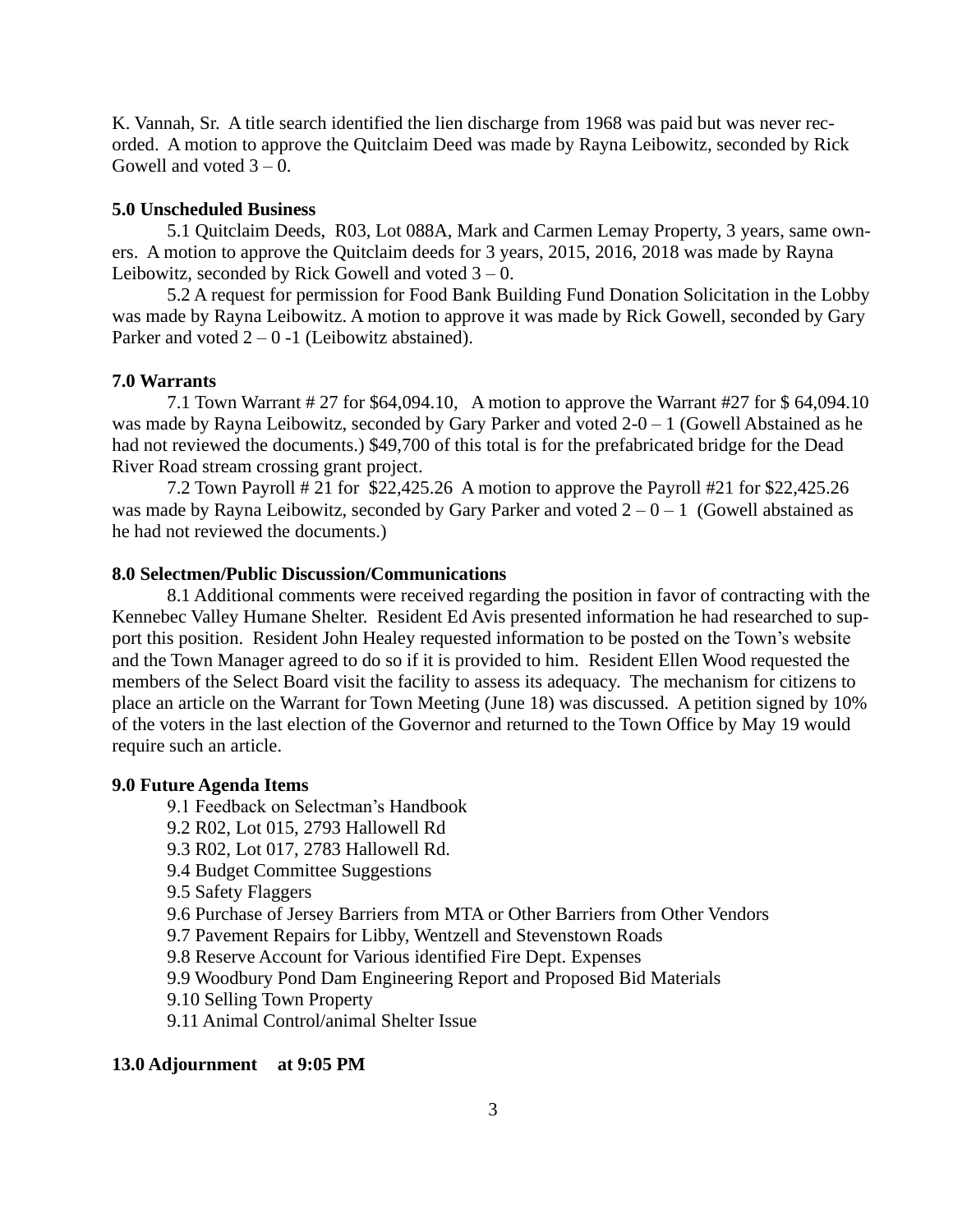K. Vannah, Sr. A title search identified the lien discharge from 1968 was paid but was never recorded. A motion to approve the Quitclaim Deed was made by Rayna Leibowitz, seconded by Rick Gowell and voted  $3 - 0$ .

### **5.0 Unscheduled Business**

5.1 Quitclaim Deeds, R03, Lot 088A, Mark and Carmen Lemay Property, 3 years, same owners. A motion to approve the Quitclaim deeds for 3 years, 2015, 2016, 2018 was made by Rayna Leibowitz, seconded by Rick Gowell and voted  $3 - 0$ .

5.2 A request for permission for Food Bank Building Fund Donation Solicitation in the Lobby was made by Rayna Leibowitz. A motion to approve it was made by Rick Gowell, seconded by Gary Parker and voted  $2 - 0 - 1$  (Leibowitz abstained).

### **7.0 Warrants**

7.1 Town Warrant # 27 for \$64,094.10, A motion to approve the Warrant #27 for \$ 64,094.10 was made by Rayna Leibowitz, seconded by Gary Parker and voted  $2-0-1$  (Gowell Abstained as he had not reviewed the documents.) \$49,700 of this total is for the prefabricated bridge for the Dead River Road stream crossing grant project.

7.2 Town Payroll # 21 for \$22,425.26 A motion to approve the Payroll #21 for \$22,425.26 was made by Rayna Leibowitz, seconded by Gary Parker and voted  $2 - 0 - 1$  (Gowell abstained as he had not reviewed the documents.)

## **8.0 Selectmen/Public Discussion/Communications**

8.1 Additional comments were received regarding the position in favor of contracting with the Kennebec Valley Humane Shelter.Resident Ed Avis presented information he had researched to support this position. Resident John Healey requested information to be posted on the Town's website and the Town Manager agreed to do so if it is provided to him. Resident Ellen Wood requested the members of the Select Board visit the facility to assess its adequacy. The mechanism for citizens to place an article on the Warrant for Town Meeting (June 18) was discussed. A petition signed by 10% of the voters in the last election of the Governor and returned to the Town Office by May 19 would require such an article.

#### **9.0 Future Agenda Items**

9.1 Feedback on Selectman's Handbook 9.2 R02, Lot 015, 2793 Hallowell Rd 9.3 R02, Lot 017, 2783 Hallowell Rd. 9.4 Budget Committee Suggestions 9.5 Safety Flaggers 9.6 Purchase of Jersey Barriers from MTA or Other Barriers from Other Vendors 9.7 Pavement Repairs for Libby, Wentzell and Stevenstown Roads 9.8 Reserve Account for Various identified Fire Dept. Expenses 9.9 Woodbury Pond Dam Engineering Report and Proposed Bid Materials 9.10 Selling Town Property 9.11 Animal Control/animal Shelter Issue

## **13.0 Adjournment at 9:05 PM**